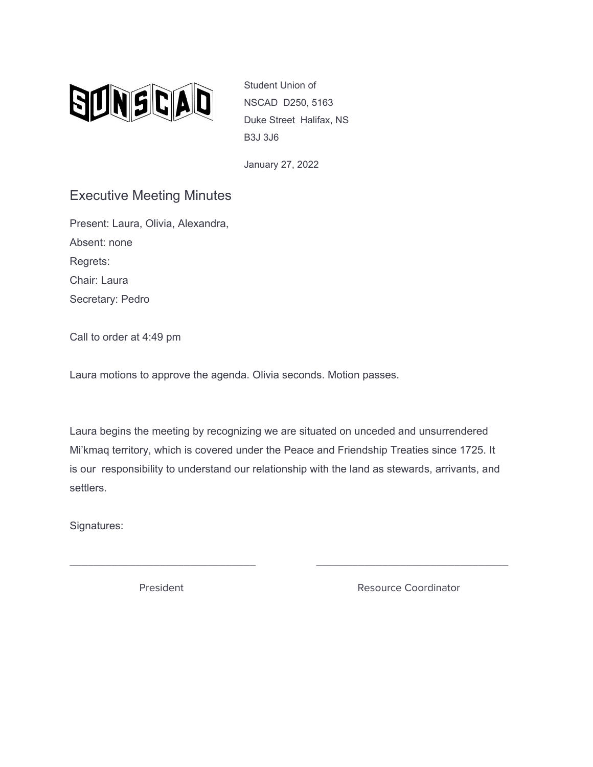

Student Union of NSCAD D250, 5163 Duke Street Halifax, NS B3J 3J6

January 27, 2022

## Executive Meeting Minutes

Present: Laura, Olivia, Alexandra, Absent: none Regrets: Chair: Laura Secretary: Pedro

Call to order at 4:49 pm

Laura motions to approve the agenda. Olivia seconds. Motion passes.

Laura begins the meeting by recognizing we are situated on unceded and unsurrendered Mi'kmaq territory, which is covered under the Peace and Friendship Treaties since 1725. It is our responsibility to understand our relationship with the land as stewards, arrivants, and settlers.

\_\_\_\_\_\_\_\_\_\_\_\_\_\_\_\_\_\_\_\_\_\_\_\_\_\_\_\_\_\_\_ \_\_\_\_\_\_\_\_\_\_\_\_\_\_\_\_\_\_\_\_\_\_\_\_\_\_\_\_\_\_\_\_

Signatures:

President **Resource Coordinator** Resource Coordinator